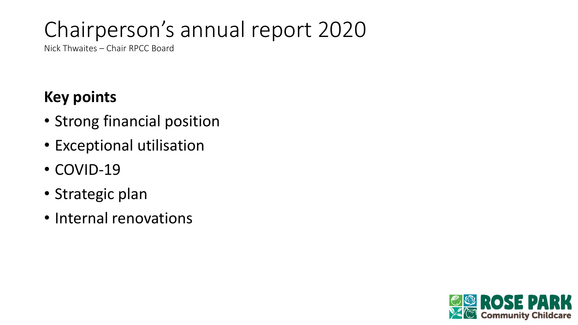### Chairperson's annual report 2020

Nick Thwaites – Chair RPCC Board

#### **Key points**

- Strong financial position
- Exceptional utilisation
- COVID-19
- Strategic plan
- Internal renovations

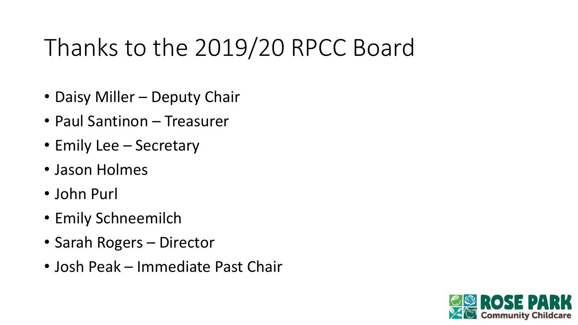# Thanks to the 2019/20 RPCC Board

- Daisy Miller Deputy Chair
- Paul Santinon Treasurer
- Emily Lee Secretary
- Jason Holmes
- John Purl
- Emily Schneemilch
- Sarah Rogers Director
- Josh Peak Immediate Past Chair

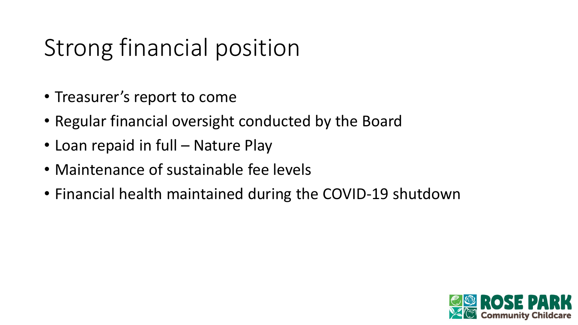# Strong financial position

- Treasurer's report to come
- Regular financial oversight conducted by the Board
- Loan repaid in full Nature Play
- Maintenance of sustainable fee levels
- Financial health maintained during the COVID-19 shutdown

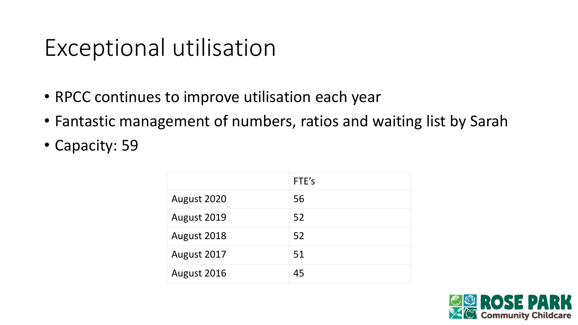## Exceptional utilisation

- RPCC continues to improve utilisation each year
- Fantastic management of numbers, ratios and waiting list by Sarah
- Capacity: 59

|             | FTE's |
|-------------|-------|
| August 2020 | 56    |
| August 2019 | 52    |
| August 2018 | 52    |
| August 2017 | 51    |
| August 2016 | 45    |

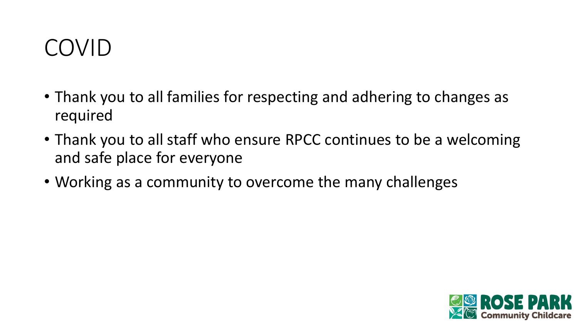#### COVID

- Thank you to all families for respecting and adhering to changes as required
- Thank you to all staff who ensure RPCC continues to be a welcoming and safe place for everyone
- Working as a community to overcome the many challenges

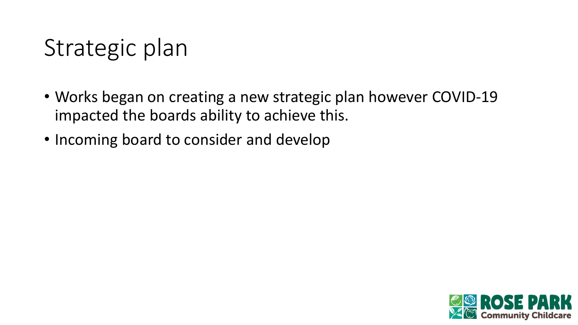## Strategic plan

- Works began on creating a new strategic plan however COVID-19 impacted the boards ability to achieve this.
- Incoming board to consider and develop

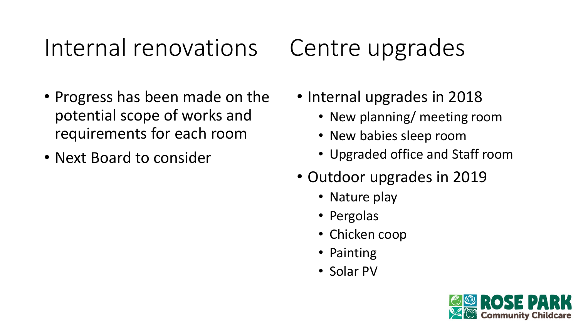#### Internal renovations

- Progress has been made on the potential scope of works and requirements for each room
- Next Board to consider

# Centre upgrades

- Internal upgrades in 2018
	- New planning/ meeting room
	- New babies sleep room
	- Upgraded office and Staff room
- Outdoor upgrades in 2019
	- Nature play
	- Pergolas
	- Chicken coop
	- Painting
	- Solar PV

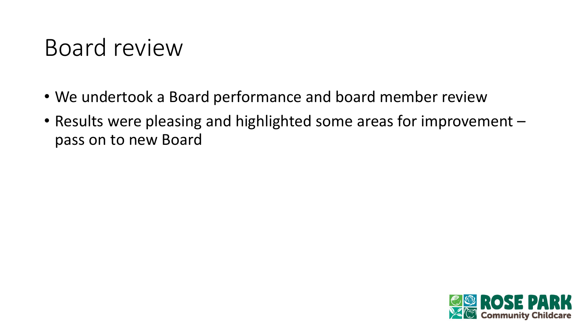#### Board review

- We undertook a Board performance and board member review
- Results were pleasing and highlighted some areas for improvement pass on to new Board

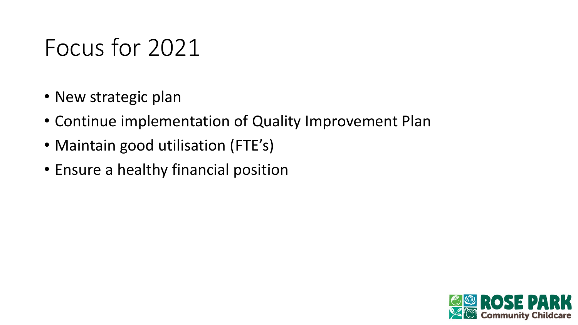## Focus for 2021

- New strategic plan
- Continue implementation of Quality Improvement Plan
- Maintain good utilisation (FTE's)
- Ensure a healthy financial position